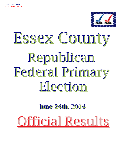

# Republican Federal Primary Election Essex County

## **June 24th, 2014 June 24th, 2014**

Official Results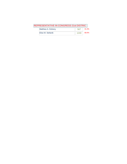| REPRESENTATIVE IN CONGRESS 21st DISTRIC |      |       |
|-----------------------------------------|------|-------|
| Matthew A. Doheny                       | 567  | 31.4% |
| Elise M. Stefanik                       | 1240 | 68.6% |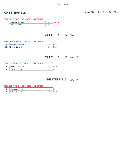| REPRESENTATIVE IN CONGRESS 21st DISTRICT |       |
|------------------------------------------|-------|
| Matthew A. Doheny                        | 26.7% |
| Elise M. Stefanik                        | 73.3% |

### CHESTERFIELD ED#: 1

| <b>REPRESENTATIVE IN CONGRESS 21st DISTRICT</b> |                       |  |            |
|-------------------------------------------------|-----------------------|--|------------|
|                                                 | 1B: Matthew A. Doheny |  | REP        |
| $2R+$                                           | Elise M. Stefanik     |  | <b>RFP</b> |

### CHESTERFIELD ED#: 2

|     | <b>REPRESENTATIVE IN CONGRESS 21st DISTRICT</b> |            |
|-----|-------------------------------------------------|------------|
|     | 1B: Matthew A. Doheny                           | <b>RFP</b> |
| 2B: | Elise M. Stefanik                               | RFP        |

### CHESTERFIELD ED#: 4

|     | REPRESENTATIVE IN CONGRESS 21st DISTRICT |  |
|-----|------------------------------------------|--|
|     | 1B: Matthew A. Doheny                    |  |
| 2B: | Elise M. Stefanik                        |  |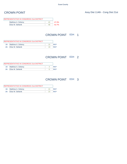| REPRESENTATIVE IN CONGRESS 21st DISTRICT |       |
|------------------------------------------|-------|
| Matthew A. Doheny                        | 47.3% |
| Elise M. Stefanik                        | 52.7% |

### CROWN POINT ED#: 1

| <b>REPRESENTATIVE IN CONGRESS 21st DISTRICT</b> |                       |     |            |
|-------------------------------------------------|-----------------------|-----|------------|
|                                                 | 1B: Matthew A. Doheny |     | RFP        |
| $2B^+$                                          | Elise M. Stefanik     | 1 Q | <b>RFP</b> |

#### CROWN POINT ED#: 2

| <b>REPRESENTATIVE IN CONGRESS 21st DISTRICT</b> |                       |  |     |
|-------------------------------------------------|-----------------------|--|-----|
|                                                 | 1B: Matthew A. Doheny |  | REP |
| 2B:                                             | Elise M. Stefanik     |  | REP |

### CROWN POINT ED#: 3

|     | REPRESENTATIVE IN CONGRESS 21st DISTRICT |            |
|-----|------------------------------------------|------------|
|     | 1B: Matthew A. Doheny                    | REP        |
| 2B: | Elise M. Stefanik                        | <b>RFP</b> |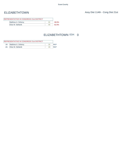| REPRESENTATIVE IN CONGRESS 21st DISTRICT |       |
|------------------------------------------|-------|
| Matthew A. Doheny                        | 38.0% |
| Elise M. Stefanik                        | 62.0% |

### ELIZABETHTOWN ED#: 0

| <b>REPRESENTATIVE IN CONGRESS 21st DISTRICT</b> |                   |    |            |
|-------------------------------------------------|-------------------|----|------------|
| 1B:                                             | Matthew A. Doheny |    | <b>RFP</b> |
| $2B^+$                                          | Elise M. Stefanik | 49 | <b>RFP</b> |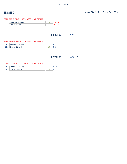| REPRESENTATIVE IN CONGRESS 21st DISTRICT |       |
|------------------------------------------|-------|
| Matthew A. Doheny                        | 16.3% |
| Elise M. Stefanik                        | 83.7% |
|                                          |       |

ESSEX ED#: 1

| <b>REPRESENTATIVE IN CONGRESS 21st DISTRICT</b> |                       |  |  |
|-------------------------------------------------|-----------------------|--|--|
|                                                 | 1B: Matthew A. Doheny |  |  |
| $2R+$                                           | Elise M. Stefanik     |  |  |

ESSEX ED#: 2

| <b>REPRESENTATIVE IN CONGRESS 21st DISTRICT</b> |                       |  |     |
|-------------------------------------------------|-----------------------|--|-----|
|                                                 | 1B: Matthew A. Doheny |  | RFP |
| $2B^+$                                          | Elise M. Stefanik     |  | RFP |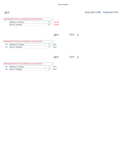| REPRESENTATIVE IN CONGRESS 21st DISTRICT |       |
|------------------------------------------|-------|
| Matthew A. Doheny                        | 39.4% |
| Elise M. Stefanik                        | 60.6% |
|                                          |       |

JAY ED#: 1

| <b>IREPRESENTATIVE IN CONGRESS 21st DISTRICT</b> |                       |  |            |
|--------------------------------------------------|-----------------------|--|------------|
|                                                  | 1B: Matthew A. Doheny |  | RFP        |
| 2B:                                              | Elise M. Stefanik     |  | <b>RFP</b> |

JAY ED#: 2

| <b>REPRESENTATIVE IN CONGRESS 21st DISTRICT</b> |                       |  |     |
|-------------------------------------------------|-----------------------|--|-----|
|                                                 | 1B: Matthew A. Doheny |  | REP |
| $2R^+$                                          | Elise M. Stefanik     |  | RFP |

JAY Assy Dist 114th - Cong Dist 21st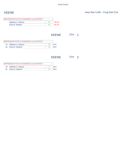| REPRESENTATIVE IN CONGRESS 21st DISTRICT |    |       |
|------------------------------------------|----|-------|
| Matthew A. Doheny                        |    | 35.3% |
| Elise M. Stefanik                        | 44 | 64.7% |
|                                          |    |       |

KEENE ED#: 1

| <b>IREPRESENTATIVE IN CONGRESS 21st DISTRICT</b> |                       |  |     |
|--------------------------------------------------|-----------------------|--|-----|
|                                                  | 1B: Matthew A. Doheny |  | REP |
| $2B^+$                                           | Elise M. Stefanik     |  | REP |

KEENE ED#: 2

| <b>REPRESENTATIVE IN CONGRESS 21st DISTRICT</b> |                       |  |     |
|-------------------------------------------------|-----------------------|--|-----|
|                                                 | 1B: Matthew A. Doheny |  | REP |
| $2B^+$                                          | Elise M. Stefanik     |  | RFP |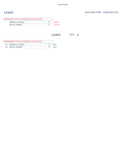| REPRESENTATIVE IN CONGRESS 21st DISTRICT |    |       |
|------------------------------------------|----|-------|
| Matthew A. Doheny                        |    | 26.3% |
| Elise M. Stefanik                        | 56 | 73.7% |

LEWIS ED#: 0

| <b>REPRESENTATIVE IN CONGRESS 21st DISTRICT</b> |                       |  |  |
|-------------------------------------------------|-----------------------|--|--|
|                                                 | 1B: Matthew A. Doheny |  |  |
|                                                 | 2B: Elise M. Stefanik |  |  |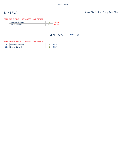| REPRESENTATIVE IN CONGRESS 21st DISTRICT |       |
|------------------------------------------|-------|
| Matthew A. Doheny                        | 16.0% |
| Elise M. Stefanik                        | 84.0% |

MINERVA ED#: 0

|                  | <b>IREPRESENTATIVE IN CONGRESS 21st DISTRICT</b> |  |
|------------------|--------------------------------------------------|--|
|                  | 1B: Matthew A. Doheny                            |  |
| 2B <sup>-1</sup> | Elise M. Stefanik                                |  |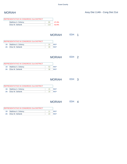| REPRESENTATIVE IN CONGRESS 21st DISTRICT |     |       |
|------------------------------------------|-----|-------|
| Matthew A. Doheny                        | gg  | 47.4% |
| Elise M. Stefanik                        | 110 | 52.6% |

MORIAH ED#: 1

| <b>IREPRESENTATIVE IN CONGRESS 21st DISTRICT</b> |  |     |
|--------------------------------------------------|--|-----|
| 1B: Matthew A. Doheny                            |  | DED |
| 2B: Elise M. Stefanik                            |  | RFP |

MORIAH ED#: 2

|        | <b>REPRESENTATIVE IN CONGRESS 21st DISTRICT</b> |     |
|--------|-------------------------------------------------|-----|
|        | 1B: Matthew A. Doheny                           | RFP |
| $2R^+$ | Elise M. Stefanik                               | RFP |

MORIAH ED#: 3

| REPRESENTATIVE IN CONGRESS 21st DISTRICT |     |     |
|------------------------------------------|-----|-----|
| 1B: Matthew A. Doheny                    | 15  | RFP |
| 2B: Elise M. Stefanik                    | 1 Q | RFP |

### MORIAH ED#: 4

|        | REPRESENTATIVE IN CONGRESS 21st DISTRICT |     |
|--------|------------------------------------------|-----|
| 1B:    | Matthew A. Doheny                        | REP |
| $2B^+$ | Elise M. Stefanik                        | REP |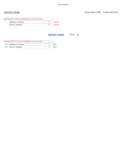| REPRESENTATIVE IN CONGRESS 21st DISTRICT |       |
|------------------------------------------|-------|
| Matthew A. Doheny                        | 40.0% |
| Elise M. Stefanik                        | 60.0% |

### NEWCOMB ED#: 0

|                  | <b>REPRESENTATIVE IN CONGRESS 21st DISTRICT</b> |  |
|------------------|-------------------------------------------------|--|
|                  | 1B: Matthew A. Doheny                           |  |
| 2B <sup>-1</sup> | Elise M. Stefanik                               |  |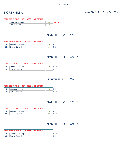| REPRESENTATIVE IN CONGRESS 21st DISTRICT |     |              |
|------------------------------------------|-----|--------------|
| Matthew A. Doheny                        |     | <b>22.7%</b> |
| Elise M. Stefanik                        | 194 | 77.3%        |

### NORTH ELBA ED#: 1

|     | <b>REPRESENTATIVE IN CONGRESS 21st DISTRICT</b> |            |
|-----|-------------------------------------------------|------------|
|     | 1B: Matthew A. Doheny                           | REP        |
| 2B: | Elise M. Stefanik                               | <b>RFP</b> |

#### NORTH ELBA ED#: 2

|                 | <b>REPRESENTATIVE IN CONGRESS 21st DISTRICT</b> |     |
|-----------------|-------------------------------------------------|-----|
|                 | 1B: Matthew A. Doheny                           | RFP |
| 2B <sub>1</sub> | Elise M. Stefanik                               | RFP |

#### NORTH ELBA ED#: 3

|        | REPRESENTATIVE IN CONGRESS 21st DISTRICT |            |
|--------|------------------------------------------|------------|
|        | 1B: Matthew A. Doheny                    | RFP        |
| $2B^+$ | Elise M. Stefanik                        | <b>RFP</b> |

### NORTH ELBA ED#: 4

|     | <b>REPRESENTATIVE IN CONGRESS 21st DISTRICT</b> |    |     |
|-----|-------------------------------------------------|----|-----|
|     | 1B: Matthew A. Doheny                           |    | REP |
| 2B: | Elise M. Stefanik                               | 30 | RFP |

#### NORTH ELBA ED#: 5

| <b>REPRESENTATIVE IN CONGRESS 21st DISTRICT</b> |                       |  |     |
|-------------------------------------------------|-----------------------|--|-----|
|                                                 | 1B: Matthew A. Doheny |  | DED |
| $2B^+$                                          | Elise M. Stefanik     |  | REP |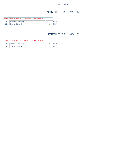### NORTH ELBA ED#: 6

| <b>REPRESENTATIVE IN CONGRESS 21st DISTRICT</b> |                       |  |            |
|-------------------------------------------------|-----------------------|--|------------|
|                                                 | 1B: Matthew A. Doheny |  | RFP        |
| 2B:                                             | Elise M. Stefanik     |  | <b>RFP</b> |

### NORTH ELBA ED#: 7

| <b>REPRESENTATIVE IN CONGRESS 21st DISTRICT</b> |                       |  |  |
|-------------------------------------------------|-----------------------|--|--|
|                                                 | 1B: Matthew A. Doheny |  |  |
|                                                 | 2B: Elise M. Stefanik |  |  |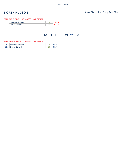| REPRESENTATIVE IN CONGRESS 21st DISTRICT |       |
|------------------------------------------|-------|
| Matthew A. Doheny                        | 16.7% |
| Elise M. Stefanik                        | 83.3% |

### NORTH HUDSON ED#: 0

| <b>IREPRESENTATIVE IN CONGRESS 21st DISTRICT</b> |                       |  |     |
|--------------------------------------------------|-----------------------|--|-----|
|                                                  | 1B: Matthew A. Doheny |  | REP |
| $2B^+$                                           | Elise M. Stefanik     |  | REP |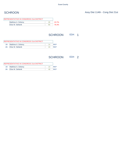| REPRESENTATIVE IN CONGRESS 21st DISTRICT |       |
|------------------------------------------|-------|
|                                          | 23.7% |
|                                          | 76.3% |
|                                          |       |

SCHROON ED#: 1

| <b>REPRESENTATIVE IN CONGRESS 21st DISTRICT</b> |                       |  |     |
|-------------------------------------------------|-----------------------|--|-----|
|                                                 | 1B: Matthew A. Doheny |  | REP |
| $2B^+$                                          | Elise M. Stefanik     |  | REP |

SCHROON ED#: 2

| <b>IREPRESENTATIVE IN CONGRESS 21st DISTRICT</b> |                       |    |     |
|--------------------------------------------------|-----------------------|----|-----|
|                                                  | 1B: Matthew A. Doheny |    | REP |
| $2B^+$                                           | Elise M. Stefanik     | 46 | REP |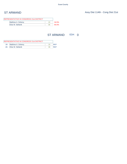| REPRESENTATIVE IN CONGRESS 21st DISTRICT |       |
|------------------------------------------|-------|
| Matthew A. Doheny                        | 34.5% |
| Elise M. Stefanik                        | 65.5% |

### ST ARMAND ED#: 0

| <b>REPRESENTATIVE IN CONGRESS 21st DISTRICT</b> |                       |  |  |
|-------------------------------------------------|-----------------------|--|--|
|                                                 | 1B: Matthew A. Doheny |  |  |
| 2B <sup>-1</sup>                                | Elise M. Stefanik     |  |  |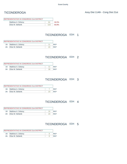| REPRESENTATIVE IN CONGRESS 21st DISTRICT |    |       |
|------------------------------------------|----|-------|
| Matthew A. Doheny                        | 64 | 34.2% |
| Elise M. Stefanik                        |    | 65.8% |

### TICONDEROGA ED#: 1

| <b>REPRESENTATIVE IN CONGRESS 21st DISTRICT</b> |                       |  |     |
|-------------------------------------------------|-----------------------|--|-----|
|                                                 | 1B: Matthew A. Doheny |  | DED |
| $2R^+$                                          | Elise M. Stefanik     |  | REP |

#### TICONDEROGA ED#: 2

|     | <b>REPRESENTATIVE IN CONGRESS 21st DISTRICT</b> |            |
|-----|-------------------------------------------------|------------|
|     | 1B: Matthew A. Doheny                           | <b>RFP</b> |
| 2B: | Elise M. Stefanik                               | RFP        |

#### TICONDEROGA ED#: 3

|     | REPRESENTATIVE IN CONGRESS 21st DISTRICT |            |
|-----|------------------------------------------|------------|
|     | 1B: Matthew A. Doheny                    | RFP        |
| 2B: | Elise M. Stefanik                        | <b>RFP</b> |

### TICONDEROGA ED#: 4

|     | <b>REPRESENTATIVE IN CONGRESS 21st DISTRICT</b> |    |            |
|-----|-------------------------------------------------|----|------------|
|     | 1B: Matthew A. Doheny                           | 15 | <b>REP</b> |
| 2B: | Elise M. Stefanik                               |    | RFP        |

#### TICONDEROGA ED#: 5

|     | <b>REPRESENTATIVE IN CONGRESS 21st DISTRICT</b> |     |
|-----|-------------------------------------------------|-----|
|     | 1B: Matthew A. Doheny                           | DED |
| 2B: | Elise M. Stefanik                               | REP |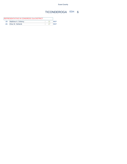### TICONDEROGA ED#: 6

| <b>REPRESENTATIVE IN CONGRESS 21st DISTRICT</b> |            |
|-------------------------------------------------|------------|
| 1B: Matthew A. Doheny                           | <b>RFP</b> |
| 2B: Elise M. Stefanik                           | <b>RFP</b> |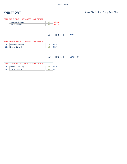| REPRESENTATIVE IN CONGRESS 21st DISTRICT |    |       |
|------------------------------------------|----|-------|
| Matthew A. Doheny                        |    | 33.3% |
| Elise M. Stefanik                        | 86 | 66.7% |

### WESTPORT ED#: 1

| <b>REPRESENTATIVE IN CONGRESS 21st DISTRICT</b> |                       |  |            |
|-------------------------------------------------|-----------------------|--|------------|
|                                                 | 1B: Matthew A. Doheny |  | RFP        |
| 2B:                                             | Elise M. Stefanik     |  | <b>RFP</b> |

### WESTPORT ED#: 2

| <b>REPRESENTATIVE IN CONGRESS 21st DISTRICT</b> |                       |    |     |
|-------------------------------------------------|-----------------------|----|-----|
|                                                 | 1B: Matthew A. Doheny | 35 | REP |
| $2B^+$                                          | Elise M. Stefanik     | 68 | REP |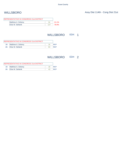| 21.1% |
|-------|
| 78.9% |
|       |

### WILLSBORO ED#: 1

| <b>REPRESENTATIVE IN CONGRESS 21st DISTRICT</b> |                       |    |            |
|-------------------------------------------------|-----------------------|----|------------|
|                                                 | 1B: Matthew A. Doheny |    | <b>RFP</b> |
| 2B:                                             | Elise M. Stefanik     | 84 | <b>RFP</b> |

### WILLSBORO ED#: 2

| <b>REPRESENTATIVE IN CONGRESS 21st DISTRICT</b> |                       |  |     |
|-------------------------------------------------|-----------------------|--|-----|
|                                                 | 1B: Matthew A. Doheny |  | REP |
| $2B^+$                                          | Elise M. Stefanik     |  | REP |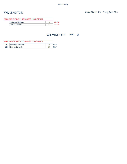| REPRESENTATIVE IN CONGRESS 21st DISTRICT |       |
|------------------------------------------|-------|
| Matthew A. Doheny                        | 22.9% |
| Elise M. Stefanik                        | 77.1% |

### WILMINGTON ED#: 0

| <b>REPRESENTATIVE IN CONGRESS 21st DISTRICT</b> |                       |  |  |
|-------------------------------------------------|-----------------------|--|--|
|                                                 | 1B: Matthew A. Doheny |  |  |
| $2R^+$                                          | Elise M. Stefanik     |  |  |